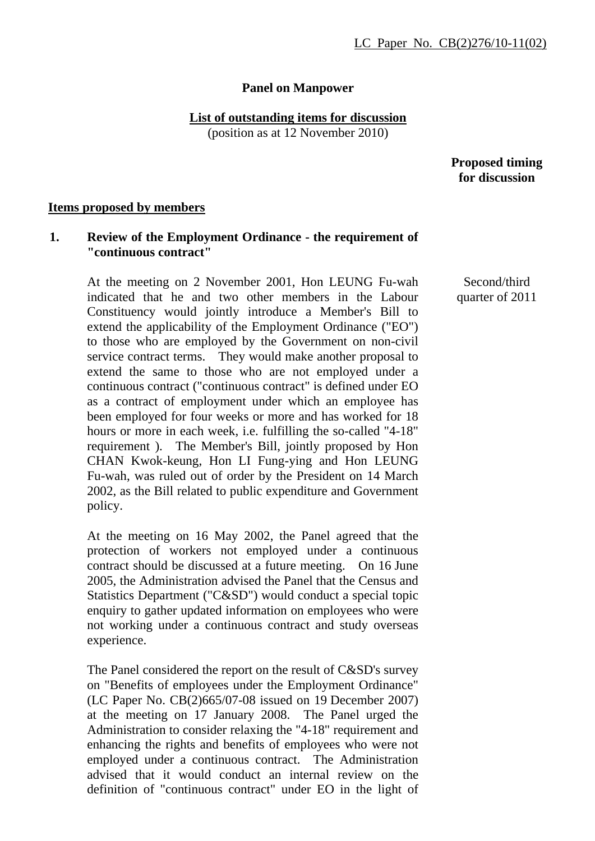## **Panel on Manpower**

## **List of outstanding items for discussion**

(position as at 12 November 2010)

 **Proposed timing for discussion** 

### **Items proposed by members**

# **1. Review of the Employment Ordinance - the requirement of "continuous contract"**

At the meeting on 2 November 2001, Hon LEUNG Fu-wah indicated that he and two other members in the Labour Constituency would jointly introduce a Member's Bill to extend the applicability of the Employment Ordinance ("EO") to those who are employed by the Government on non-civil service contract terms. They would make another proposal to extend the same to those who are not employed under a continuous contract ("continuous contract" is defined under EO as a contract of employment under which an employee has been employed for four weeks or more and has worked for 18 hours or more in each week, i.e. fulfilling the so-called "4-18" requirement ). The Member's Bill, jointly proposed by Hon CHAN Kwok-keung, Hon LI Fung-ying and Hon LEUNG Fu-wah, was ruled out of order by the President on 14 March 2002, as the Bill related to public expenditure and Government policy.

At the meeting on 16 May 2002, the Panel agreed that the protection of workers not employed under a continuous contract should be discussed at a future meeting. On 16 June 2005, the Administration advised the Panel that the Census and Statistics Department ("C&SD") would conduct a special topic enquiry to gather updated information on employees who were not working under a continuous contract and study overseas experience.

The Panel considered the report on the result of C&SD's survey on "Benefits of employees under the Employment Ordinance" (LC Paper No. CB(2)665/07-08 issued on 19 December 2007) at the meeting on 17 January 2008. The Panel urged the Administration to consider relaxing the "4-18" requirement and enhancing the rights and benefits of employees who were not employed under a continuous contract. The Administration advised that it would conduct an internal review on the definition of "continuous contract" under EO in the light of

Second/third quarter of 2011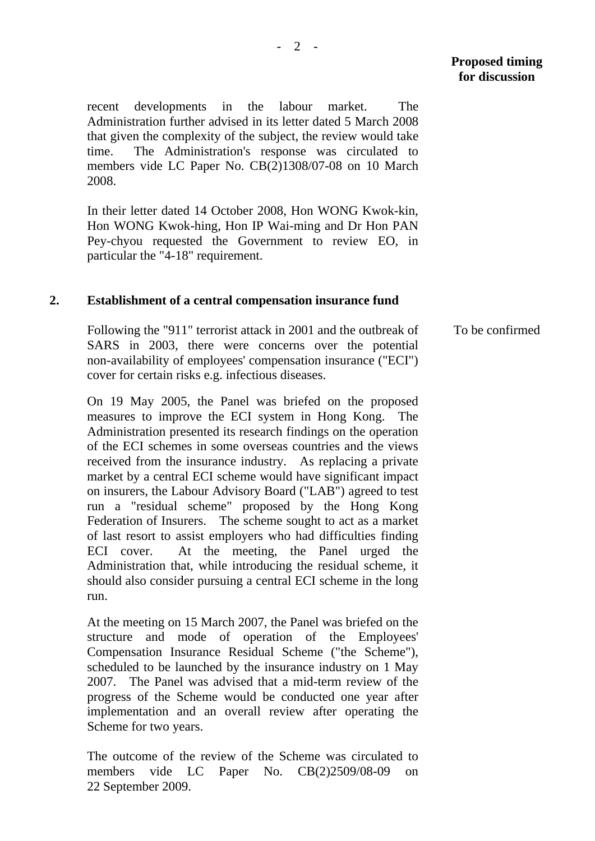recent developments in the labour market. The Administration further advised in its letter dated 5 March 2008 that given the complexity of the subject, the review would take time. The Administration's response was circulated to members vide LC Paper No. CB(2)1308/07-08 on 10 March

In their letter dated 14 October 2008, Hon WONG Kwok-kin, Hon WONG Kwok-hing, Hon IP Wai-ming and Dr Hon PAN Pey-chyou requested the Government to review EO, in particular the "4-18" requirement.

### **2. Establishment of a central compensation insurance fund**

2008.

Following the "911" terrorist attack in 2001 and the outbreak of SARS in 2003, there were concerns over the potential non-availability of employees' compensation insurance ("ECI") cover for certain risks e.g. infectious diseases.

On 19 May 2005, the Panel was briefed on the proposed measures to improve the ECI system in Hong Kong. The Administration presented its research findings on the operation of the ECI schemes in some overseas countries and the views received from the insurance industry. As replacing a private market by a central ECI scheme would have significant impact on insurers, the Labour Advisory Board ("LAB") agreed to test run a "residual scheme" proposed by the Hong Kong Federation of Insurers. The scheme sought to act as a market of last resort to assist employers who had difficulties finding ECI cover. At the meeting, the Panel urged the Administration that, while introducing the residual scheme, it should also consider pursuing a central ECI scheme in the long run.

At the meeting on 15 March 2007, the Panel was briefed on the structure and mode of operation of the Employees' Compensation Insurance Residual Scheme ("the Scheme"), scheduled to be launched by the insurance industry on 1 May 2007. The Panel was advised that a mid-term review of the progress of the Scheme would be conducted one year after implementation and an overall review after operating the Scheme for two years.

The outcome of the review of the Scheme was circulated to members vide LC Paper No. CB(2)2509/08-09 on 22 September 2009.

To be confirmed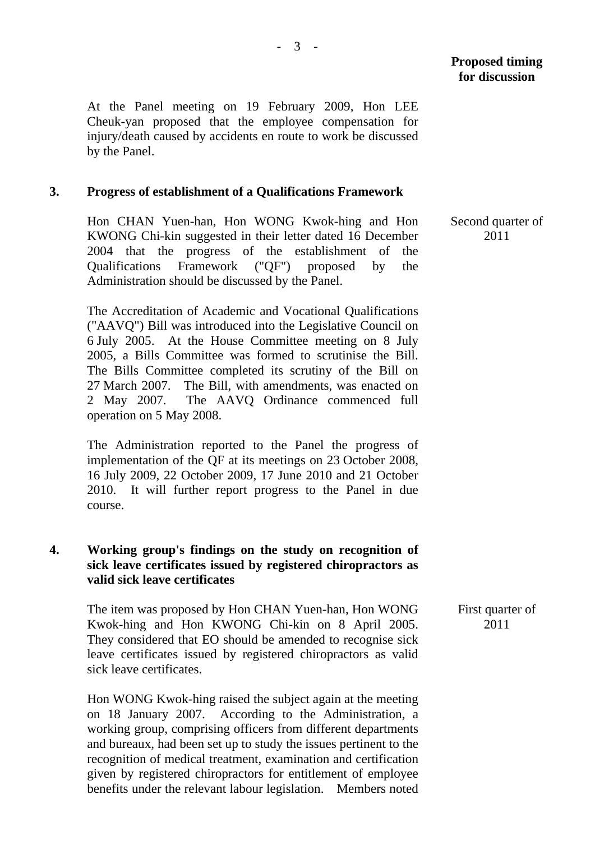At the Panel meeting on 19 February 2009, Hon LEE Cheuk-yan proposed that the employee compensation for injury/death caused by accidents en route to work be discussed by the Panel.

### **3. Progress of establishment of a Qualifications Framework**

Hon CHAN Yuen-han, Hon WONG Kwok-hing and Hon KWONG Chi-kin suggested in their letter dated 16 December 2004 that the progress of the establishment of the Qualifications Framework ("QF") proposed by the Administration should be discussed by the Panel.

The Accreditation of Academic and Vocational Qualifications ("AAVQ") Bill was introduced into the Legislative Council on 6 July 2005. At the House Committee meeting on 8 July 2005, a Bills Committee was formed to scrutinise the Bill. The Bills Committee completed its scrutiny of the Bill on 27 March 2007. The Bill, with amendments, was enacted on 2 May 2007. The AAVQ Ordinance commenced full operation on 5 May 2008.

The Administration reported to the Panel the progress of implementation of the QF at its meetings on 23 October 2008, 16 July 2009, 22 October 2009, 17 June 2010 and 21 October 2010. It will further report progress to the Panel in due course.

# **4. Working group's findings on the study on recognition of sick leave certificates issued by registered chiropractors as valid sick leave certificates**

The item was proposed by Hon CHAN Yuen-han, Hon WONG Kwok-hing and Hon KWONG Chi-kin on 8 April 2005. They considered that EO should be amended to recognise sick leave certificates issued by registered chiropractors as valid sick leave certificates.

Hon WONG Kwok-hing raised the subject again at the meeting on 18 January 2007. According to the Administration, a working group, comprising officers from different departments and bureaux, had been set up to study the issues pertinent to the recognition of medical treatment, examination and certification given by registered chiropractors for entitlement of employee benefits under the relevant labour legislation. Members noted Second quarter of 2011

 First quarter of 2011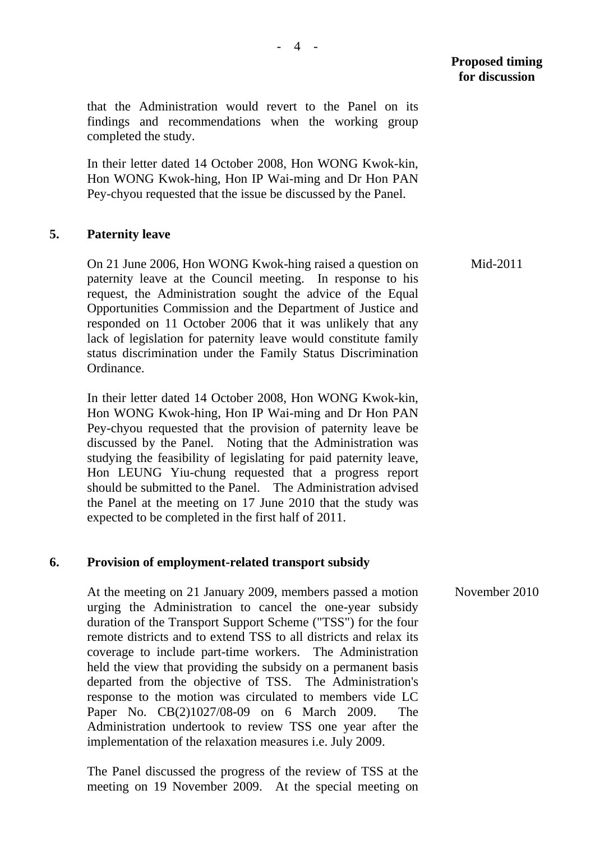**Proposed timing for discussion** 

that the Administration would revert to the Panel on its findings and recommendations when the working group completed the study.

In their letter dated 14 October 2008, Hon WONG Kwok-kin, Hon WONG Kwok-hing, Hon IP Wai-ming and Dr Hon PAN Pey-chyou requested that the issue be discussed by the Panel.

### **5. Paternity leave**

On 21 June 2006, Hon WONG Kwok-hing raised a question on paternity leave at the Council meeting. In response to his request, the Administration sought the advice of the Equal Opportunities Commission and the Department of Justice and responded on 11 October 2006 that it was unlikely that any lack of legislation for paternity leave would constitute family status discrimination under the Family Status Discrimination Ordinance.

In their letter dated 14 October 2008, Hon WONG Kwok-kin, Hon WONG Kwok-hing, Hon IP Wai-ming and Dr Hon PAN Pey-chyou requested that the provision of paternity leave be discussed by the Panel. Noting that the Administration was studying the feasibility of legislating for paid paternity leave, Hon LEUNG Yiu-chung requested that a progress report should be submitted to the Panel. The Administration advised the Panel at the meeting on 17 June 2010 that the study was expected to be completed in the first half of 2011.

## **6. Provision of employment-related transport subsidy**

At the meeting on 21 January 2009, members passed a motion urging the Administration to cancel the one-year subsidy duration of the Transport Support Scheme ("TSS") for the four remote districts and to extend TSS to all districts and relax its coverage to include part-time workers. The Administration held the view that providing the subsidy on a permanent basis departed from the objective of TSS. The Administration's response to the motion was circulated to members vide LC Paper No. CB(2)1027/08-09 on 6 March 2009. The Administration undertook to review TSS one year after the implementation of the relaxation measures i.e. July 2009.

The Panel discussed the progress of the review of TSS at the meeting on 19 November 2009. At the special meeting on Mid-2011

November 2010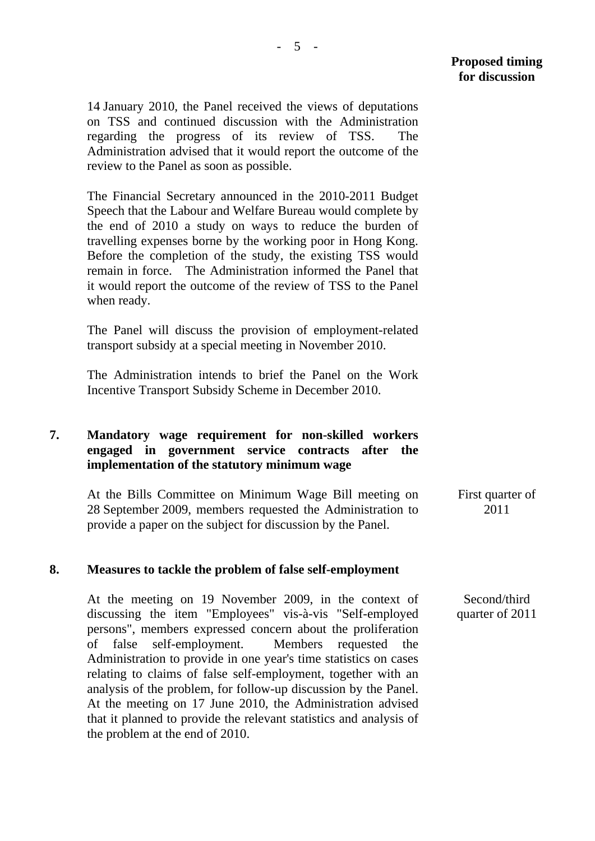14 January 2010, the Panel received the views of deputations on TSS and continued discussion with the Administration regarding the progress of its review of TSS. The Administration advised that it would report the outcome of the review to the Panel as soon as possible.

The Financial Secretary announced in the 2010-2011 Budget Speech that the Labour and Welfare Bureau would complete by the end of 2010 a study on ways to reduce the burden of travelling expenses borne by the working poor in Hong Kong. Before the completion of the study, the existing TSS would remain in force. The Administration informed the Panel that it would report the outcome of the review of TSS to the Panel when ready.

The Panel will discuss the provision of employment-related transport subsidy at a special meeting in November 2010.

The Administration intends to brief the Panel on the Work Incentive Transport Subsidy Scheme in December 2010.

# **7. Mandatory wage requirement for non-skilled workers engaged in government service contracts after the implementation of the statutory minimum wage**

At the Bills Committee on Minimum Wage Bill meeting on 28 September 2009, members requested the Administration to provide a paper on the subject for discussion by the Panel. First quarter of 2011

## **8. Measures to tackle the problem of false self-employment**

At the meeting on 19 November 2009, in the context of discussing the item "Employees" vis-à-vis "Self-employed persons", members expressed concern about the proliferation of false self-employment. Members requested the Administration to provide in one year's time statistics on cases relating to claims of false self-employment, together with an analysis of the problem, for follow-up discussion by the Panel. At the meeting on 17 June 2010, the Administration advised that it planned to provide the relevant statistics and analysis of the problem at the end of 2010.

 Second/third quarter of 2011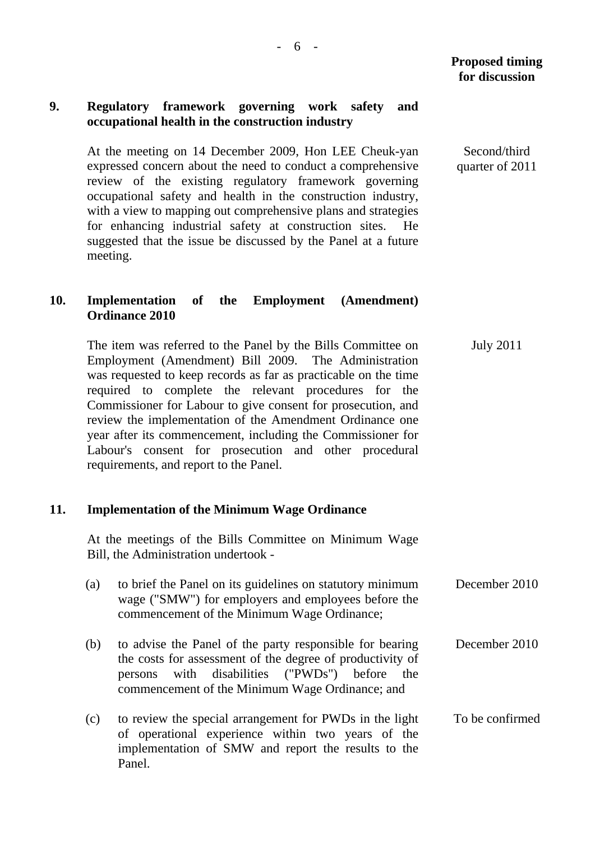Second/third quarter of 2011

## **9. Regulatory framework governing work safety and occupational health in the construction industry**

At the meeting on 14 December 2009, Hon LEE Cheuk-yan expressed concern about the need to conduct a comprehensive review of the existing regulatory framework governing occupational safety and health in the construction industry, with a view to mapping out comprehensive plans and strategies for enhancing industrial safety at construction sites. He suggested that the issue be discussed by the Panel at a future meeting.

# **10. Implementation of the Employment (Amendment) Ordinance 2010**

 The item was referred to the Panel by the Bills Committee on Employment (Amendment) Bill 2009. The Administration was requested to keep records as far as practicable on the time required to complete the relevant procedures for the Commissioner for Labour to give consent for prosecution, and review the implementation of the Amendment Ordinance one year after its commencement, including the Commissioner for Labour's consent for prosecution and other procedural requirements, and report to the Panel. July 2011

## **11. Implementation of the Minimum Wage Ordinance**

 At the meetings of the Bills Committee on Minimum Wage Bill, the Administration undertook -

- (a) to brief the Panel on its guidelines on statutory minimum wage ("SMW") for employers and employees before the commencement of the Minimum Wage Ordinance; December 2010
- (b) to advise the Panel of the party responsible for bearing the costs for assessment of the degree of productivity of persons with disabilities ("PWDs") before the commencement of the Minimum Wage Ordinance; and December 2010
- (c) to review the special arrangement for PWDs in the light of operational experience within two years of the implementation of SMW and report the results to the Panel. To be confirmed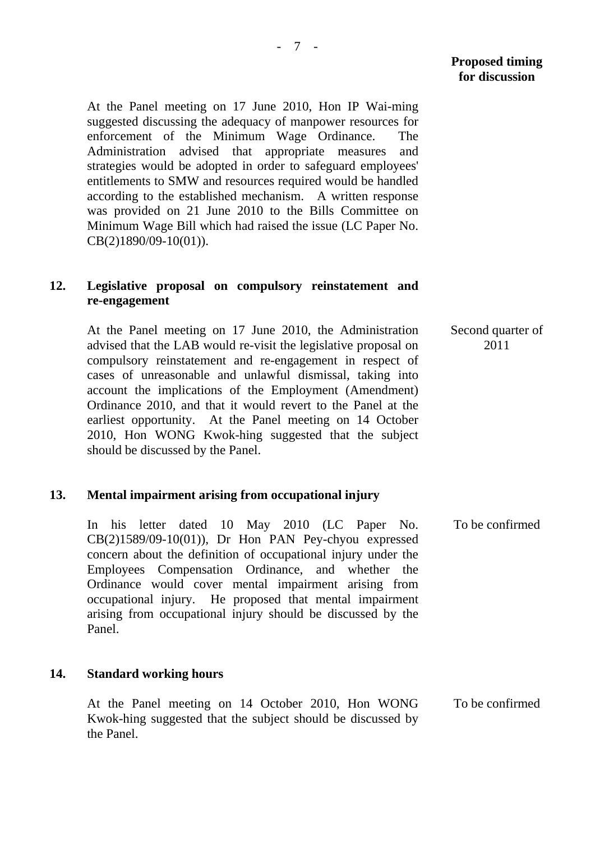At the Panel meeting on 17 June 2010, Hon IP Wai-ming suggested discussing the adequacy of manpower resources for enforcement of the Minimum Wage Ordinance. The Administration advised that appropriate measures and strategies would be adopted in order to safeguard employees' entitlements to SMW and resources required would be handled according to the established mechanism. A written response was provided on 21 June 2010 to the Bills Committee on Minimum Wage Bill which had raised the issue (LC Paper No. CB(2)1890/09-10(01)).

## **12. Legislative proposal on compulsory reinstatement and re-engagement**

 At the Panel meeting on 17 June 2010, the Administration advised that the LAB would re-visit the legislative proposal on compulsory reinstatement and re-engagement in respect of cases of unreasonable and unlawful dismissal, taking into account the implications of the Employment (Amendment) Ordinance 2010, and that it would revert to the Panel at the earliest opportunity. At the Panel meeting on 14 October 2010, Hon WONG Kwok-hing suggested that the subject should be discussed by the Panel. Second quarter of 2011

#### **13. Mental impairment arising from occupational injury**

 In his letter dated 10 May 2010 (LC Paper No. CB(2)1589/09-10(01)), Dr Hon PAN Pey-chyou expressed concern about the definition of occupational injury under the Employees Compensation Ordinance, and whether the Ordinance would cover mental impairment arising from occupational injury. He proposed that mental impairment arising from occupational injury should be discussed by the Panel. To be confirmed

#### **14. Standard working hours**

 At the Panel meeting on 14 October 2010, Hon WONG Kwok-hing suggested that the subject should be discussed by the Panel. To be confirmed